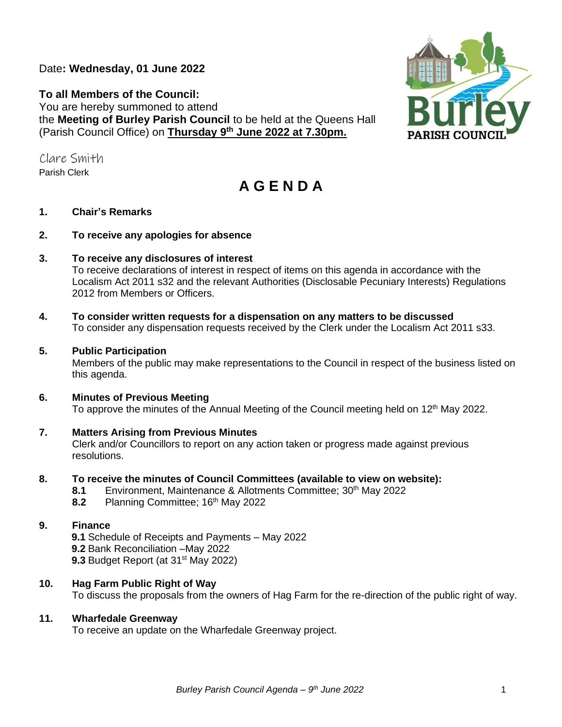Date**: Wednesday, 01 June 2022**

**To all Members of the Council:**  You are hereby summoned to attend the **Meeting of Burley Parish Council** to be held at the Queens Hall (Parish Council Office) on **Thursday 9 th June 2022 at 7.30pm.** 

Clare Smith Parish Clerk

# **A G E N D A**

# **1. Chair's Remarks**

## **2. To receive any apologies for absence**

## **3. To receive any disclosures of interest**

To receive declarations of interest in respect of items on this agenda in accordance with the Localism Act 2011 s32 and the relevant Authorities (Disclosable Pecuniary Interests) Regulations 2012 from Members or Officers.

**4. To consider written requests for a dispensation on any matters to be discussed**  To consider any dispensation requests received by the Clerk under the Localism Act 2011 s33.

## **5. Public Participation**

Members of the public may make representations to the Council in respect of the business listed on this agenda.

## **6. Minutes of Previous Meeting**

To approve the minutes of the Annual Meeting of the Council meeting held on 12<sup>th</sup> May 2022.

## **7. Matters Arising from Previous Minutes**

Clerk and/or Councillors to report on any action taken or progress made against previous resolutions.

## **8. To receive the minutes of Council Committees (available to view on website):**

- **8.1** Environment, Maintenance & Allotments Committee; 30<sup>th</sup> May 2022
- **8.2** Planning Committee; 16<sup>th</sup> May 2022

## **9. Finance**

**9.1** Schedule of Receipts and Payments – May 2022 **9.2** Bank Reconciliation –May 2022 **9.3** Budget Report (at 31<sup>st</sup> May 2022)

## **10. Hag Farm Public Right of Way**

To discuss the proposals from the owners of Hag Farm for the re-direction of the public right of way.

## **11. Wharfedale Greenway**

To receive an update on the Wharfedale Greenway project.